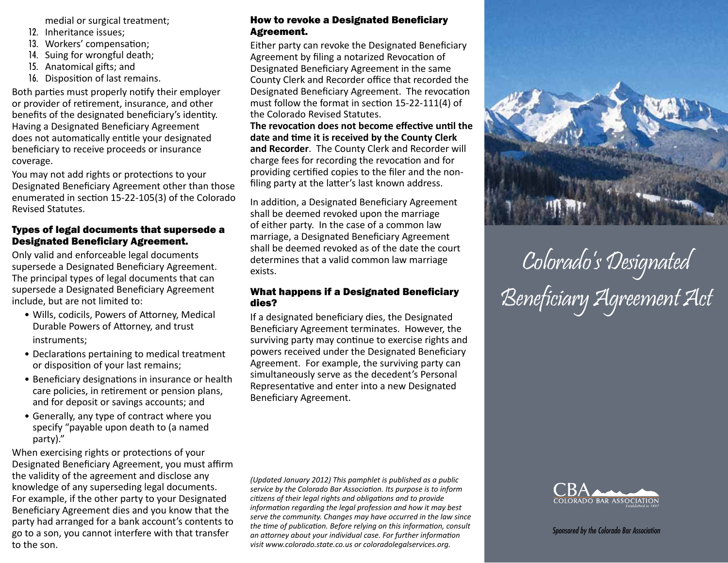medial or surgical treatment;

- 12. Inheritance issues;
- 13. Workers' compensation;
- 14. Suing for wrongful death;
- 15. Anatomical gifts; and
- 16. Disposition of last remains.

Both parties must properly notify their employer or provider of retirement, insurance, and other benefits of the designated beneficiary's identity. Having a Designated Beneficiary Agreement does not automatically entitle your designated beneficiary to receive proceeds or insurance coverage.

You may not add rights or protections to your Designated Beneficiary Agreement other than those enumerated in section 15-22-105(3) of the Colorado Revised Statutes.

# Types of legal documents that supersede a Designated Beneficiary Agreement.

Only valid and enforceable legal documents supersede a Designated Beneficiary Agreement. The principal types of legal documents that can supersede a Designated Beneficiary Agreement include, but are not limited to:

- Wills, codicils, Powers of Attorney, Medical Durable Powers of Attorney, and trust instruments;
- Declarations pertaining to medical treatment or disposition of your last remains;
- Beneficiary designations in insurance or health care policies, in retirement or pension plans, and for deposit or savings accounts; and
- Generally, any type of contract where you specify "payable upon death to (a named party)."

When exercising rights or protections of your Designated Beneficiary Agreement, you must affirm the validity of the agreement and disclose any knowledge of any superseding legal documents. For example, if the other party to your Designated Beneficiary Agreement dies and you know that the party had arranged for a bank account's contents to go to a son, you cannot interfere with that transfer to the son.

## How to revoke a Designated Beneficiary Agreement.

Either party can revoke the Designated Beneficiary Agreement by filing a notarized Revocation of Designated Beneficiary Agreement in the same County Clerk and Recorder office that recorded the Designated Beneficiary Agreement. The revocation must follow the format in section 15-22-111(4) of the Colorado Revised Statutes.

**The revocation does not become effective until the date and time it is received by the County Clerk and Recorder**. The County Clerk and Recorder will charge fees for recording the revocation and for providing certified copies to the filer and the nonfiling party at the latter's last known address.

In addition, a Designated Beneficiary Agreement shall be deemed revoked upon the marriage of either party. In the case of a common law marriage, a Designated Beneficiary Agreement shall be deemed revoked as of the date the court determines that a valid common law marriage exists.

### What happens if a Designated Beneficiary dies?

If a designated beneficiary dies, the Designated Beneficiary Agreement terminates. However, the surviving party may continue to exercise rights and powers received under the Designated Beneficiary Agreement. For example, the surviving party can simultaneously serve as the decedent's Personal Representative and enter into a new Designated Beneficiary Agreement.

Colorado's Designated Beneficiary Agreement Act

*(Updated January 2012) This pamphlet is published as a public service by the Colorado Bar Association. Its purpose is to inform citizens of their legal rights and obligations and to provide information regarding the legal profession and how it may best serve the community. Changes may have occurred in the law since the time of publication. Before relying on this information, consult an attorney about your individual case. For further information visit www.colorado.state.co.us or coloradolegalservices.org.*



*Sponsored by the Colorado Bar Association*